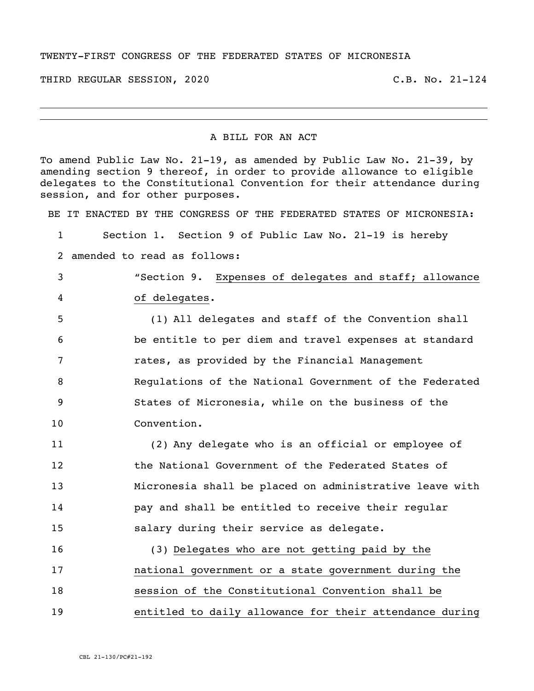## TWENTY-FIRST CONGRESS OF THE FEDERATED STATES OF MICRONESIA

THIRD REGULAR SESSION, 2020 C.B. No. 21-124

## A BILL FOR AN ACT

To amend Public Law No. 21-19, as amended by Public Law No. 21-39, by amending section 9 thereof, in order to provide allowance to eligible delegates to the Constitutional Convention for their attendance during session, and for other purposes.

BE IT ENACTED BY THE CONGRESS OF THE FEDERATED STATES OF MICRONESIA:

 Section 1. Section 9 of Public Law No. 21-19 is hereby amended to read as follows: "Section 9. Expenses of delegates and staff; allowance of delegates. (1) All delegates and staff of the Convention shall be entitle to per diem and travel expenses at standard rates, as provided by the Financial Management Regulations of the National Government of the Federated States of Micronesia, while on the business of the Convention. (2) Any delegate who is an official or employee of the National Government of the Federated States of Micronesia shall be placed on administrative leave with pay and shall be entitled to receive their regular salary during their service as delegate. (3) Delegates who are not getting paid by the national government or a state government during the session of the Constitutional Convention shall be

entitled to daily allowance for their attendance during